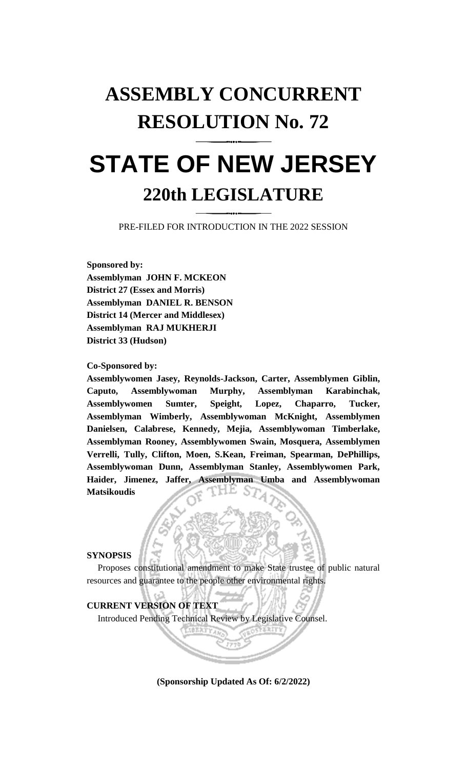## **ASSEMBLY CONCURRENT RESOLUTION No. 72**

# **STATE OF NEW JERSEY 220th LEGISLATURE**

PRE-FILED FOR INTRODUCTION IN THE 2022 SESSION

**Sponsored by: Assemblyman JOHN F. MCKEON District 27 (Essex and Morris) Assemblyman DANIEL R. BENSON District 14 (Mercer and Middlesex) Assemblyman RAJ MUKHERJI District 33 (Hudson)**

**Co-Sponsored by:**

**Assemblywomen Jasey, Reynolds-Jackson, Carter, Assemblymen Giblin, Caputo, Assemblywoman Murphy, Assemblyman Karabinchak, Assemblywomen Sumter, Speight, Lopez, Chaparro, Tucker, Assemblyman Wimberly, Assemblywoman McKnight, Assemblymen Danielsen, Calabrese, Kennedy, Mejia, Assemblywoman Timberlake, Assemblyman Rooney, Assemblywomen Swain, Mosquera, Assemblymen Verrelli, Tully, Clifton, Moen, S.Kean, Freiman, Spearman, DePhillips, Assemblywoman Dunn, Assemblyman Stanley, Assemblywomen Park, Haider, Jimenez, Jaffer, Assemblyman Umba and Assemblywoman Matsikoudis**

## **SYNOPSIS**

Proposes constitutional amendment to make State trustee of public natural resources and guarantee to the people other environmental rights.

## **CURRENT VERSION OF TEXT**

Introduced Pending Technical Review by Legislative Counsel.

**(Sponsorship Updated As Of: 6/2/2022)**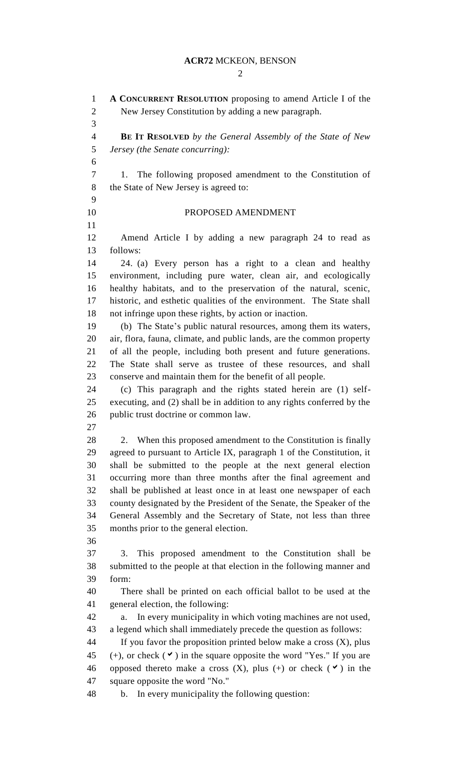$\mathcal{D}_{\mathcal{L}}$ 

 **A CONCURRENT RESOLUTION** proposing to amend Article I of the New Jersey Constitution by adding a new paragraph. **BE IT RESOLVED** *by the General Assembly of the State of New Jersey (the Senate concurring):* 1. The following proposed amendment to the Constitution of 8 the State of New Jersey is agreed to: PROPOSED AMENDMENT Amend Article I by adding a new paragraph 24 to read as follows: 24. (a) Every person has a right to a clean and healthy environment, including pure water, clean air, and ecologically healthy habitats, and to the preservation of the natural, scenic, historic, and esthetic qualities of the environment. The State shall not infringe upon these rights, by action or inaction. (b) The State's public natural resources, among them its waters, air, flora, fauna, climate, and public lands, are the common property of all the people, including both present and future generations. The State shall serve as trustee of these resources, and shall conserve and maintain them for the benefit of all people. (c) This paragraph and the rights stated herein are (1) self- executing, and (2) shall be in addition to any rights conferred by the public trust doctrine or common law. 28 2. When this proposed amendment to the Constitution is finally agreed to pursuant to Article IX, paragraph 1 of the Constitution, it shall be submitted to the people at the next general election occurring more than three months after the final agreement and shall be published at least once in at least one newspaper of each county designated by the President of the Senate, the Speaker of the General Assembly and the Secretary of State, not less than three months prior to the general election. 3. This proposed amendment to the Constitution shall be submitted to the people at that election in the following manner and form: There shall be printed on each official ballot to be used at the general election, the following: a. In every municipality in which voting machines are not used, a legend which shall immediately precede the question as follows: 44 If you favor the proposition printed below make a cross  $(X)$ , plus 45 (+), or check  $(\vee)$  in the square opposite the word "Yes." If you are 46 opposed thereto make a cross  $(X)$ , plus  $(+)$  or check  $(\vee)$  in the square opposite the word "No." b. In every municipality the following question: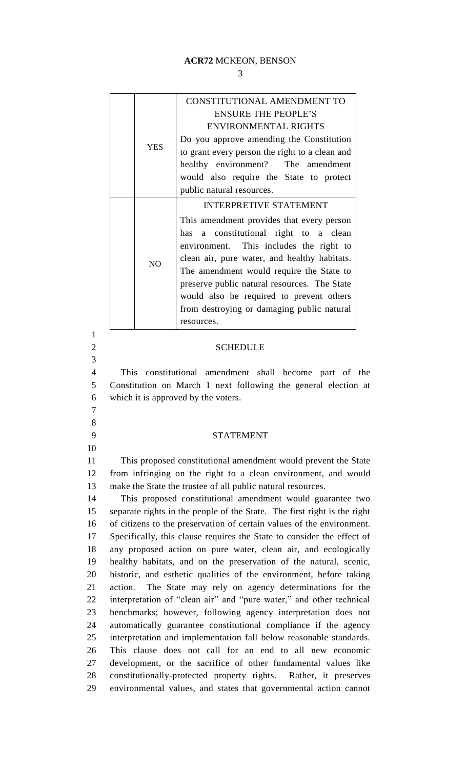### **ACR72** MCKEON, BENSON

| <b>YES</b> | CONSTITUTIONAL AMENDMENT TO                                    |
|------------|----------------------------------------------------------------|
|            | <b>ENSURE THE PEOPLE'S</b>                                     |
|            | <b>ENVIRONMENTAL RIGHTS</b>                                    |
|            | Do you approve amending the Constitution                       |
|            | to grant every person the right to a clean and                 |
|            | healthy environment? The amendment                             |
|            | would also require the State to protect                        |
|            | public natural resources.                                      |
| NO         | <b>INTERPRETIVE STATEMENT</b>                                  |
|            | This amendment provides that every person                      |
|            | has a constitutional right to a clean                          |
|            | environment. This includes the right to                        |
|            | clean air, pure water, and healthy habitats.                   |
|            | The amendment would require the State to                       |
|            | preserve public natural resources. The State                   |
|            | would also be required to prevent others                       |
|            | from destroying or damaging public natural                     |
|            | resources.                                                     |
|            |                                                                |
|            | <b>SCHEDULE</b>                                                |
|            | This constitutional amendment shall become part of the         |
|            | Constitution on March 1 next following the general election at |

5 Constitution on March 1 next following the general election at 6 which it is approved by the voters. 7

1

3

8

10

### 9 STATEMENT

11 This proposed constitutional amendment would prevent the State 12 from infringing on the right to a clean environment, and would 13 make the State the trustee of all public natural resources.

 This proposed constitutional amendment would guarantee two separate rights in the people of the State. The first right is the right of citizens to the preservation of certain values of the environment. Specifically, this clause requires the State to consider the effect of any proposed action on pure water, clean air, and ecologically healthy habitats, and on the preservation of the natural, scenic, historic, and esthetic qualities of the environment, before taking action. The State may rely on agency determinations for the interpretation of "clean air" and "pure water," and other technical benchmarks; however, following agency interpretation does not automatically guarantee constitutional compliance if the agency interpretation and implementation fall below reasonable standards. This clause does not call for an end to all new economic development, or the sacrifice of other fundamental values like constitutionally-protected property rights. Rather, it preserves environmental values, and states that governmental action cannot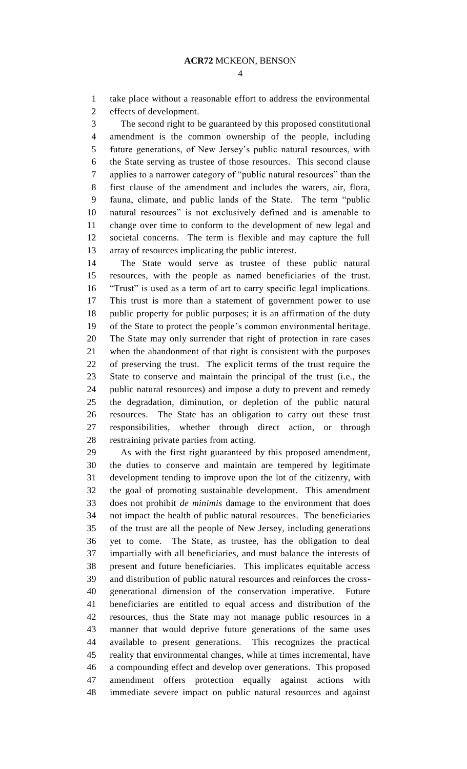take place without a reasonable effort to address the environmental effects of development.

 The second right to be guaranteed by this proposed constitutional amendment is the common ownership of the people, including future generations, of New Jersey's public natural resources, with the State serving as trustee of those resources. This second clause applies to a narrower category of "public natural resources" than the first clause of the amendment and includes the waters, air, flora, fauna, climate, and public lands of the State. The term "public natural resources" is not exclusively defined and is amenable to change over time to conform to the development of new legal and societal concerns. The term is flexible and may capture the full array of resources implicating the public interest.

 The State would serve as trustee of these public natural resources, with the people as named beneficiaries of the trust. "Trust" is used as a term of art to carry specific legal implications. This trust is more than a statement of government power to use public property for public purposes; it is an affirmation of the duty of the State to protect the people's common environmental heritage. The State may only surrender that right of protection in rare cases when the abandonment of that right is consistent with the purposes of preserving the trust. The explicit terms of the trust require the State to conserve and maintain the principal of the trust (i.e., the public natural resources) and impose a duty to prevent and remedy the degradation, diminution, or depletion of the public natural resources. The State has an obligation to carry out these trust responsibilities, whether through direct action, or through restraining private parties from acting.

 As with the first right guaranteed by this proposed amendment, the duties to conserve and maintain are tempered by legitimate development tending to improve upon the lot of the citizenry, with the goal of promoting sustainable development. This amendment does not prohibit *de minimis* damage to the environment that does not impact the health of public natural resources. The beneficiaries of the trust are all the people of New Jersey, including generations yet to come. The State, as trustee, has the obligation to deal impartially with all beneficiaries, and must balance the interests of present and future beneficiaries. This implicates equitable access and distribution of public natural resources and reinforces the cross- generational dimension of the conservation imperative. Future beneficiaries are entitled to equal access and distribution of the resources, thus the State may not manage public resources in a manner that would deprive future generations of the same uses available to present generations. This recognizes the practical reality that environmental changes, while at times incremental, have a compounding effect and develop over generations. This proposed amendment offers protection equally against actions with immediate severe impact on public natural resources and against